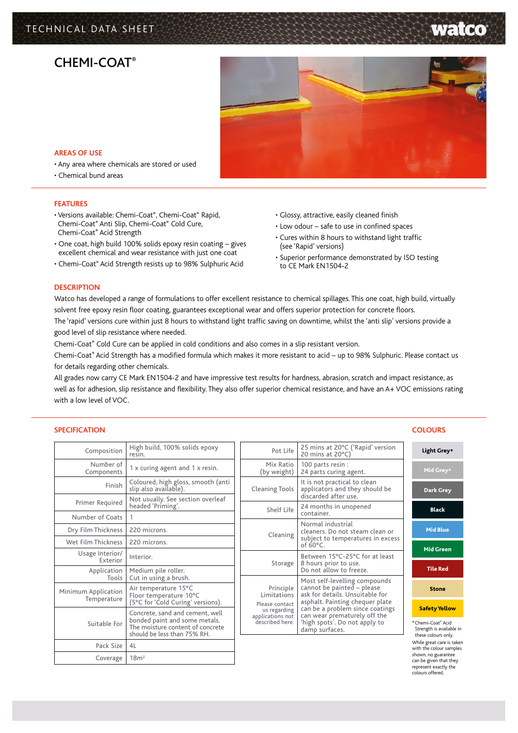# TECHNICAL DATA SHEET

# CHFMI-COAT®



### **AREAS OF USE**

- Any area where chemicals are stored or used
- Chemical bund areas

### **FEATURES**

- Versions available: Chemi-Coat®, Chemi-Coat® Rapid, Chemi-Coat® Anti Slip, Chemi-Coat® Cold Cure, Chemi-Coat® Acid Strength
- One coat, high build 100% solids epoxy resin coating gives excellent chemical and wear resistance with just one coat
- Chemi-Coat® Acid Strength resists up to 98% Sulphuric Acid
- Glossy, attractive, easily cleaned finish
- Low odour safe to use in confined spaces
- Cures within 8 hours to withstand light traffic (see 'Rapid' versions)
- Superior performance demonstrated by ISO testing to CE Mark EN1504-2

### **DESCRIPTION**

Watco has developed a range of formulations to offer excellent resistance to chemical spillages. This one coat, high build, virtually solvent free epoxy resin floor coating, guarantees exceptional wear and offers superior protection for concrete floors. The 'rapid' versions cure within just 8 hours to withstand light traffic saving on downtime, whilst the 'anti slip' versions provide a

good level of slip resistance where needed.

Chemi-Coat® Cold Cure can be applied in cold conditions and also comes in a slip resistant version.

Chemi-Coat® Acid Strength has a modified formula which makes it more resistant to acid – up to 98% Sulphuric. Please contact us for details regarding other chemicals.

All grades now carry CE Mark EN1504-2 and have impressive test results for hardness, abrasion, scratch and impact resistance, as well as for adhesion, slip resistance and flexibility. They also offer superior chemical resistance, and have an A+ VOC emissions rating with a low level of VOC.

### **Specification COLOURS**

| Composition                        | High build, 100% solids epoxy<br>resin.                                                                                             |   |
|------------------------------------|-------------------------------------------------------------------------------------------------------------------------------------|---|
| Number of<br>Components            | 1 x curing agent and 1 x resin.                                                                                                     |   |
| Finish                             | Coloured, high gloss, smooth (anti<br>slip also available).                                                                         | C |
| Primer Required                    | Not usually. See section overleaf<br>headed 'Priming'.                                                                              |   |
| Number of Coats                    | 1                                                                                                                                   |   |
| Dry Film Thickness                 | 220 microns.                                                                                                                        |   |
| Wet Film Thickness                 | 220 microns.                                                                                                                        |   |
| Usage Interior/<br><b>Exterior</b> | Interior.                                                                                                                           |   |
| Application<br>Tools               | Medium pile roller.<br>Cut in using a brush.                                                                                        |   |
| Minimum Application<br>Temperature | Air temperature 15°C<br>Floor temperature 10°C<br>(5°C for 'Cold Curing' versions).                                                 |   |
| Suitable For                       | Concrete, sand and cement, well<br>bonded paint and some metals.<br>The moisture content of concrete<br>should be less than 75% RH. | a |
| Pack Size                          | 41                                                                                                                                  |   |
| Coverage                           | 18m <sup>2</sup>                                                                                                                    |   |
|                                    |                                                                                                                                     |   |

| Pot Life                                                                                          | 25 mins at 20°C ('Rapid' version<br>20 mins at $20^{\circ}$ C)                                                                                                                                                                                          |
|---------------------------------------------------------------------------------------------------|---------------------------------------------------------------------------------------------------------------------------------------------------------------------------------------------------------------------------------------------------------|
| Mix Ratio<br>(by weight)                                                                          | 100 parts resin :<br>24 parts curing agent.                                                                                                                                                                                                             |
| <b>Cleaning Tools</b>                                                                             | It is not practical to clean<br>applicators and they should be<br>discarded after use.                                                                                                                                                                  |
| Shelf Life                                                                                        | 24 months in unopened<br>container.                                                                                                                                                                                                                     |
| Cleaning                                                                                          | Normal industrial<br>cleaners. Do not steam clean or<br>subject to temperatures in excess<br>of $60^{\circ}$ C.                                                                                                                                         |
| Storage                                                                                           | Between 15°C-25°C for at least<br>8 hours prior to use.<br>Do not allow to freeze.                                                                                                                                                                      |
| Principle<br>Limitations<br>Please contact<br>us regarding<br>applications not<br>described here. | Most self-levelling compounds<br>cannot be painted - please<br>ask for details. Unsuitable for<br>asphalt. Painting chequer plate<br>can be a problem since coatings<br>can wear prematurely off the<br>'high spots'. Do not apply to<br>damp surfaces. |



Strength is available in these colours only. While great care is taker with the colour samples shown, no guarantee can be given that they represent exactly the colours offered.